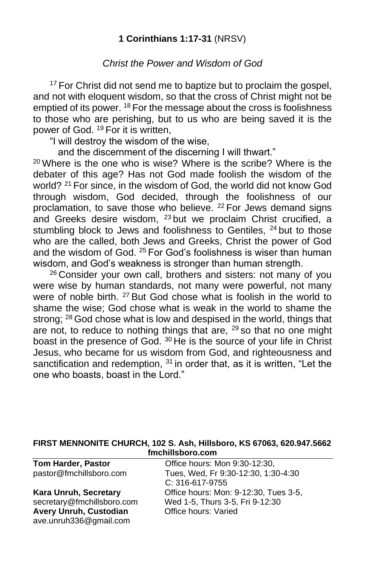#### **1 Corinthians 1:17-31** (NRSV)

#### *Christ the Power and Wisdom of God*

<sup>17</sup> For Christ did not send me to baptize but to proclaim the gospel, and not with eloquent wisdom, so that the cross of Christ might not be emptied of its power. <sup>18</sup> For the message about the cross is foolishness to those who are perishing, but to us who are being saved it is the power of God. <sup>19</sup> For it is written,

"I will destroy the wisdom of the wise,

and the discernment of the discerning I will thwart."

 $^{20}$  Where is the one who is wise? Where is the scribe? Where is the debater of this age? Has not God made foolish the wisdom of the world? <sup>21</sup> For since, in the wisdom of God, the world did not know God through wisdom, God decided, through the foolishness of our proclamation, to save those who believe. <sup>22</sup> For Jews demand signs and Greeks desire wisdom, <sup>23</sup> but we proclaim Christ crucified, a stumbling block to Jews and foolishness to Gentiles, <sup>24</sup> but to those who are the called, both Jews and Greeks, Christ the power of God and the wisdom of God. <sup>25</sup> For God's foolishness is wiser than human wisdom, and God's weakness is stronger than human strength.

<sup>26</sup> Consider your own call, brothers and sisters: not many of you were wise by human standards, not many were powerful, not many were of noble birth. <sup>27</sup> But God chose what is foolish in the world to shame the wise; God chose what is weak in the world to shame the strong; <sup>28</sup> God chose what is low and despised in the world, things that are not, to reduce to nothing things that are,  $29$  so that no one might boast in the presence of God. <sup>30</sup> He is the source of your life in Christ Jesus, who became for us wisdom from God, and righteousness and sanctification and redemption,  $31$  in order that, as it is written, "Let the one who boasts, boast in the Lord."

#### **FIRST MENNONITE CHURCH, 102 S. Ash, Hillsboro, KS 67063, 620.947.5662 fmchillsboro.com**

| <b>Tom Harder, Pastor</b>  | Office hours: Mon 9:30-12:30,         |
|----------------------------|---------------------------------------|
| pastor@fmchillsboro.com    | Tues, Wed, Fr 9:30-12:30, 1:30-4:30   |
|                            | C: 316-617-9755                       |
| Kara Unruh, Secretary      | Office hours: Mon: 9-12:30, Tues 3-5, |
| secretary@fmchillsboro.com | Wed 1-5, Thurs 3-5, Fri 9-12:30       |
| Avery Unruh, Custodian     | Office hours: Varied                  |
| ave.unruh336@gmail.com     |                                       |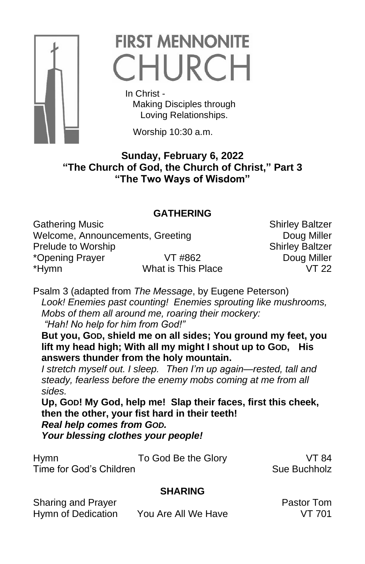

# **FIRST MENNONITE** CHURCH

 In Christ - Making Disciples through Loving Relationships.

Worship 10:30 a.m.

### **Sunday, February 6, 2022 "The Church of God, the Church of Christ," Part 3 "The Two Ways of Wisdom"**

# **GATHERING**

Gathering Music **Shirley Baltzer** Shirley Baltzer Welcome, Announcements, Greeting **Doug Miller** Prelude to Worship Shirley Baltzer \*Opening Prayer VT #862 Doug Miller \*Hymn What is This Place VT 22

Psalm 3 (adapted from *The Message*, by Eugene Peterson) *Look! Enemies past counting! Enemies sprouting like mushrooms, Mobs of them all around me, roaring their mockery: "Hah! No help for him from God!"*

**But you, GOD, shield me on all sides; You ground my feet, you lift my head high; With all my might I shout up to GOD, His answers thunder from the holy mountain.**

*I stretch myself out. I sleep. Then I'm up again—rested, tall and steady, fearless before the enemy mobs coming at me from all sides.*

**Up, GOD! My God, help me! Slap their faces, first this cheek, then the other, your fist hard in their teeth!** *Real help comes from GOD. Your blessing clothes your people!*

Hymn To God Be the Glory VT 84 Time for God's Children Sue Buchholz

# **SHARING**

Sharing and Prayer **Pastor Tom** 

Hymn of Dedication You Are All We Have VT 701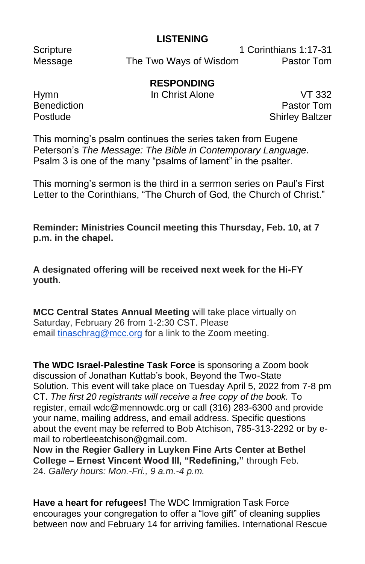#### **LISTENING**

Scripture 1 Corinthians 1:17-31 Message The Two Ways of Wisdom Pastor Tom

# **RESPONDING**

Hymn In Christ Alone VT 332 **Benediction Pastor Tom** Postlude **Shirley Baltzer** 

This morning's psalm continues the series taken from Eugene Peterson's *The Message: The Bible in Contemporary Language.*  Psalm 3 is one of the many "psalms of lament" in the psalter.

This morning's sermon is the third in a sermon series on Paul's First Letter to the Corinthians, "The Church of God, the Church of Christ."

**Reminder: Ministries Council meeting this Thursday, Feb. 10, at 7 p.m. in the chapel.**

**A designated offering will be received next week for the Hi-FY youth.**

**MCC Central States Annual Meeting** will take place virtually on Saturday, February 26 from 1-2:30 CST. Please email [tinaschrag@mcc.org](mailto:tinaschrag@mcc.org) for a link to the Zoom meeting.

**The WDC Israel-Palestine Task Force** is sponsoring a Zoom book discussion of Jonathan Kuttab's book, Beyond the Two-State Solution. This event will take place on Tuesday April 5, 2022 from 7-8 pm CT. *The first 20 registrants will receive a free copy of the book.* To register, email wdc@mennowdc.org or call (316) 283-6300 and provide your name, mailing address, and email address. Specific questions about the event may be referred to Bob Atchison, 785-313-2292 or by email to robertleeatchison@gmail.com.

**Now in the Regier Gallery in Luyken Fine Arts Center at Bethel College – Ernest Vincent Wood III, "Redefining,"** through Feb. 24. *Gallery hours: Mon.-Fri., 9 a.m.-4 p.m.*

**Have a heart for refugees!** The WDC Immigration Task Force encourages your congregation to offer a "love gift" of cleaning supplies between now and February 14 for arriving families. International Rescue